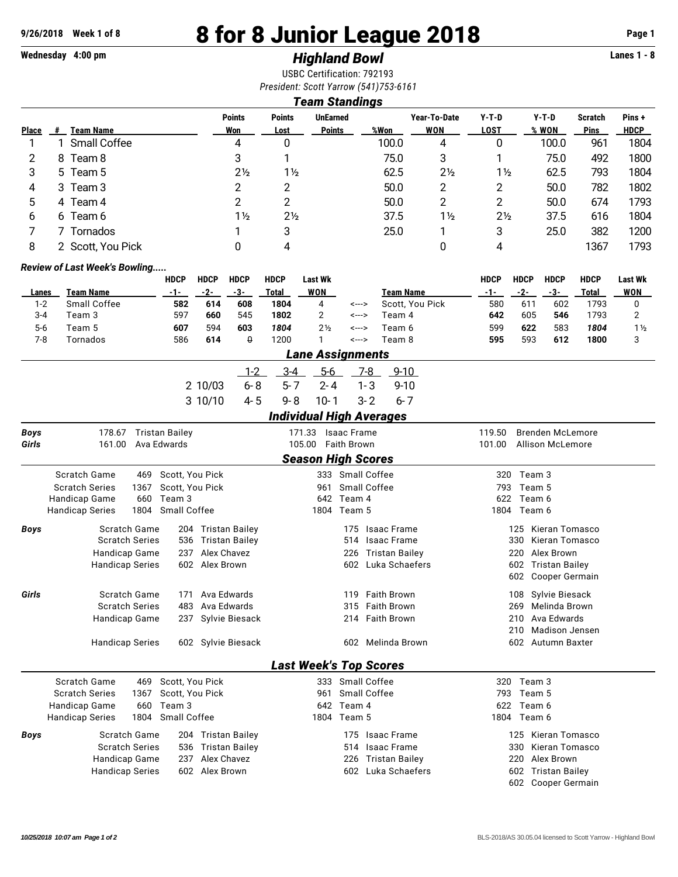# **9/26/2018 Week 1 of 8 8 for 8 Junior League 2018 Page 1**

## **Wednesday 4:00 pm** *Highland Bowl* **Lanes 1 - 8**

USBC Certification: 792193 *President: Scott Yarrow (541)753-6161*

### *Team Standings*

|              |   |                   | <b>Points</b>  | <b>Points</b>  | <b>UnEarned</b> |       | Year-To-Date   | Y-T-D          | $Y-T-D$ | <b>Scratch</b> | Pins+       |
|--------------|---|-------------------|----------------|----------------|-----------------|-------|----------------|----------------|---------|----------------|-------------|
| <b>Place</b> | # | <b>Team Name</b>  | Won            | Lost           | <b>Points</b>   | %Won  | <b>WON</b>     | <b>LOST</b>    | % WON   | <b>Pins</b>    | <b>HDCP</b> |
|              |   | Small Coffee      | 4              | 0              |                 | 100.0 | 4              | 0              | 100.0   | 961            | 1804        |
|              |   | 8 Team 8          | 3              |                |                 | 75.0  | 3              |                | 75.0    | 492            | 1800        |
| 3            |   | 5 Team 5          | $2\frac{1}{2}$ | $1\frac{1}{2}$ |                 | 62.5  | $2\frac{1}{2}$ | $1\frac{1}{2}$ | 62.5    | 793            | 1804        |
| 4            |   | 3 Team 3          |                | っ              |                 | 50.0  | 2              | 2              | 50.0    | 782            | 1802        |
| 5            |   | 4 Team 4          |                | າ              |                 | 50.0  | 2              | っ              | 50.0    | 674            | 1793        |
| b            |   | 6 Team 6          | 1½             | $2\frac{1}{2}$ |                 | 37.5  | 1½             | $2\frac{1}{2}$ | 37.5    | 616            | 1804        |
|              |   | Tornados          |                | 3              |                 | 25.0  |                | 3              | 25.0    | 382            | 1200        |
|              |   | 2 Scott, You Pick |                | 4              |                 |       |                | 4              |         | 1367           | 1793        |

#### *Review of Last Week's Bowling.....*

|         |              | HDCP | <b>HDCP</b> | <b>HDCP</b> | <b>HDCP</b> | Last Wk           |       |                  | HDCP | <b>HDCP</b> | HDCP | <b>HDCP</b> | <b>Last Wk</b> |
|---------|--------------|------|-------------|-------------|-------------|-------------------|-------|------------------|------|-------------|------|-------------|----------------|
| Lanes   | Team Name    | -1-  | -2-         | -3-         | Total       | WON               |       | <b>Team Name</b> | -1-  | -2-         | -3-  | Total       | WON            |
| $1-2$   | Small Coffee | 582  | 614         | 608         | 1804        | 4                 | <---> | Scott. You Pick  | 580  | 611         | 602  | 793         |                |
| $3 - 4$ | Team 3       | 597  | 660         | 545         | 1802        |                   | <---> | Team 4           | 642  | 605         | 546  | 793         |                |
| $5-6$   | Team 5       | 607  | 594         | 603         | 1804        | 2 <sub>2</sub>    | <---> | Team 6           | 599  | 622         | 583  | 1804        | $1\frac{1}{2}$ |
| 7-8     | Tornados     | 586  | 614         |             | 1200        |                   | <---> | Team 8           | 595  | 593         | 612  | 1800        |                |
|         |              |      |             |             |             | l ana Accianmanta |       |                  |      |             |      |             |                |

|         | Lane Assignments |  |                      |  |  |  |  |  |  |  |  |  |  |
|---------|------------------|--|----------------------|--|--|--|--|--|--|--|--|--|--|
|         |                  |  | 1-2 3-4 5-6 7-8 9-10 |  |  |  |  |  |  |  |  |  |  |
| 2 10/03 |                  |  | 6-8 5-7 2-4 1-3 9-10 |  |  |  |  |  |  |  |  |  |  |
| 3 10/10 |                  |  | 4-5 9-8 10-1 3-2 6-7 |  |  |  |  |  |  |  |  |  |  |
|         |                  |  |                      |  |  |  |  |  |  |  |  |  |  |

#### *Individual High Averages*

| <b>Boys</b> | <b>Tristan Bailey</b><br>178.67 |                              | 171.33                        | <b>Isaac Frame</b>           | <b>Brenden McLemore</b><br>119.50 |  |  |  |  |  |  |  |  |
|-------------|---------------------------------|------------------------------|-------------------------------|------------------------------|-----------------------------------|--|--|--|--|--|--|--|--|
| Girls       | 161.00<br>Ava Edwards           |                              | 105.00                        | <b>Faith Brown</b>           | 101.00<br><b>Allison McLemore</b> |  |  |  |  |  |  |  |  |
|             | <b>Season High Scores</b>       |                              |                               |                              |                                   |  |  |  |  |  |  |  |  |
|             | Scratch Game<br>469             | Scott, You Pick              |                               | 333 Small Coffee             | 320<br>Team 3                     |  |  |  |  |  |  |  |  |
|             | <b>Scratch Series</b><br>1367   | Scott, You Pick              | 961                           | Small Coffee                 | 793<br>Team 5                     |  |  |  |  |  |  |  |  |
|             | Handicap Game<br>660            | Team 3                       | 642                           | Team 4                       | 622<br>Team 6                     |  |  |  |  |  |  |  |  |
|             | 1804<br><b>Handicap Series</b>  | Small Coffee                 | 1804                          | Team 5                       | 1804 Team 6                       |  |  |  |  |  |  |  |  |
| <b>Boys</b> | Scratch Game                    | 204 Tristan Bailey           |                               | 175 Isaac Frame              | Kieran Tomasco<br>125             |  |  |  |  |  |  |  |  |
|             | <b>Scratch Series</b>           | <b>Tristan Bailey</b><br>536 |                               | <b>Isaac Frame</b><br>514    | Kieran Tomasco<br>330             |  |  |  |  |  |  |  |  |
|             | Handicap Game                   | Alex Chavez<br>237           |                               | <b>Tristan Bailey</b><br>226 | Alex Brown<br>220                 |  |  |  |  |  |  |  |  |
|             | <b>Handicap Series</b>          | 602<br>Alex Brown            |                               | Luka Schaefers<br>602        | 602<br><b>Tristan Bailey</b>      |  |  |  |  |  |  |  |  |
|             |                                 |                              |                               |                              | Cooper Germain<br>602             |  |  |  |  |  |  |  |  |
| Girls       | Scratch Game                    | Ava Edwards<br>171           |                               | <b>Faith Brown</b><br>119    | Sylvie Biesack<br>108             |  |  |  |  |  |  |  |  |
|             | <b>Scratch Series</b>           | Ava Edwards<br>483           |                               | <b>Faith Brown</b><br>315    | Melinda Brown<br>269              |  |  |  |  |  |  |  |  |
|             | Handicap Game                   | 237 Sylvie Biesack           |                               | <b>Faith Brown</b><br>214    | Ava Edwards<br>210                |  |  |  |  |  |  |  |  |
|             |                                 |                              |                               |                              | Madison Jensen<br>210             |  |  |  |  |  |  |  |  |
|             | <b>Handicap Series</b>          | 602 Sylvie Biesack           |                               | 602 Melinda Brown            | Autumn Baxter<br>602              |  |  |  |  |  |  |  |  |
|             |                                 |                              | <b>Last Week's Top Scores</b> |                              |                                   |  |  |  |  |  |  |  |  |
|             | Scratch Game<br>469             | Scott. You Pick              |                               | 333 Small Coffee             | Team 3<br>320                     |  |  |  |  |  |  |  |  |
|             | <b>Scratch Series</b><br>1367   | Scott, You Pick              | 961                           | Small Coffee                 | 793<br>Team 5                     |  |  |  |  |  |  |  |  |
|             | 660<br>Handicap Game            | Team 3                       | 642                           | Team 4                       | Team 6<br>622                     |  |  |  |  |  |  |  |  |
|             | 1804<br><b>Handicap Series</b>  | Small Coffee                 | 1804 Team 5                   |                              | 1804 Team 6                       |  |  |  |  |  |  |  |  |
| <b>Boys</b> | Scratch Game                    | 204 Tristan Bailey           |                               | <b>Isaac Frame</b><br>175    | Kieran Tomasco<br>125             |  |  |  |  |  |  |  |  |
|             | <b>Scratch Series</b>           | Tristan Bailey<br>536        |                               | <b>Isaac Frame</b><br>514    | Kieran Tomasco<br>330             |  |  |  |  |  |  |  |  |
|             | Handicap Game                   | Alex Chavez<br>237           |                               | <b>Tristan Bailey</b><br>226 | Alex Brown<br>220                 |  |  |  |  |  |  |  |  |
|             | <b>Handicap Series</b>          | Alex Brown<br>602            |                               | Luka Schaefers<br>602        | 602<br><b>Tristan Bailey</b>      |  |  |  |  |  |  |  |  |
|             |                                 |                              |                               |                              | 602<br>Cooper Germain             |  |  |  |  |  |  |  |  |